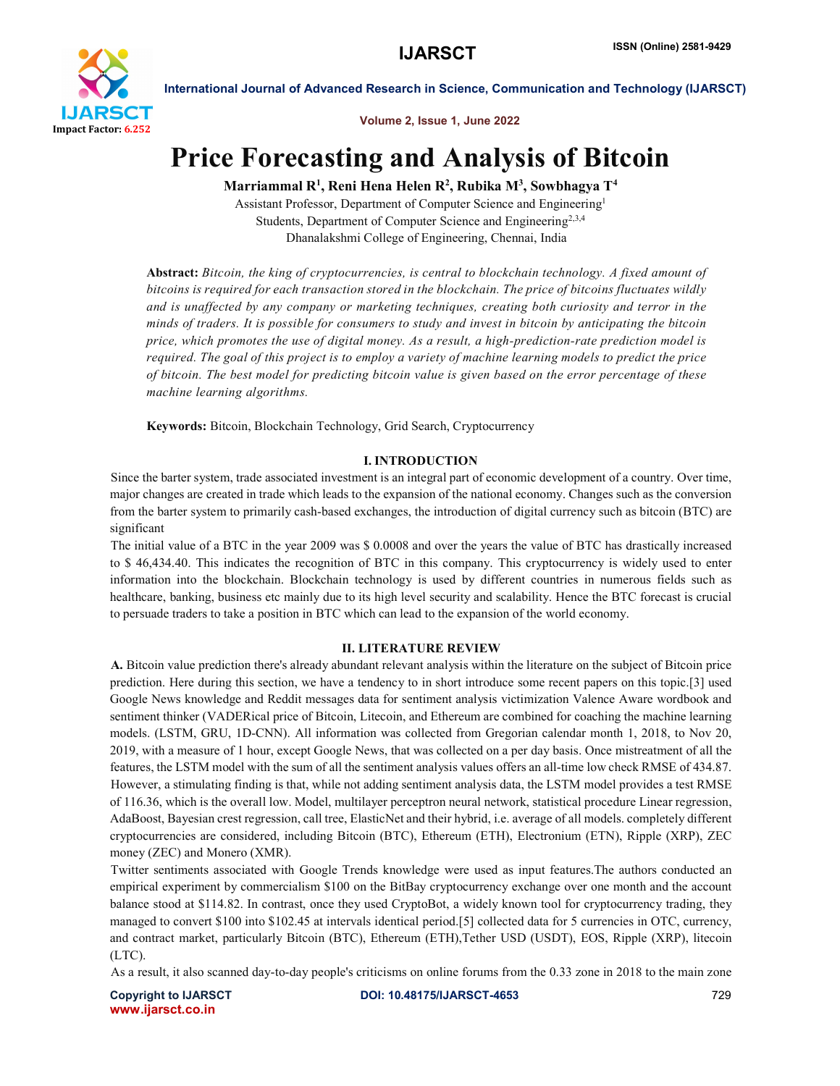

Volume 2, Issue 1, June 2022

## Price Forecasting and Analysis of Bitcoin

Marriammal R<sup>1</sup>, Reni Hena Helen R<sup>2</sup>, Rubika M<sup>3</sup>, Sowbhagya T<sup>4</sup>

Assistant Professor, Department of Computer Science and Engineering1 Students, Department of Computer Science and Engineering<sup>2,3,4</sup> Dhanalakshmi College of Engineering, Chennai, India

Abstract: *Bitcoin, the king of cryptocurrencies, is central to blockchain technology. A fixed amount of bitcoins is required for each transaction stored in the blockchain. The price of bitcoins fluctuates wildly and is unaffected by any company or marketing techniques, creating both curiosity and terror in the minds of traders. It is possible for consumers to study and invest in bitcoin by anticipating the bitcoin price, which promotes the use of digital money. As a result, a high-prediction-rate prediction model is required. The goal of this project is to employ a variety of machine learning models to predict the price of bitcoin. The best model for predicting bitcoin value is given based on the error percentage of these machine learning algorithms.*

Keywords: Bitcoin, Blockchain Technology, Grid Search, Cryptocurrency

### I. INTRODUCTION

Since the barter system, trade associated investment is an integral part of economic development of a country. Over time, major changes are created in trade which leads to the expansion of the national economy. Changes such as the conversion from the barter system to primarily cash-based exchanges, the introduction of digital currency such as bitcoin (BTC) are significant

The initial value of a BTC in the year 2009 was \$ 0.0008 and over the years the value of BTC has drastically increased to \$ 46,434.40. This indicates the recognition of BTC in this company. This cryptocurrency is widely used to enter information into the blockchain. Blockchain technology is used by different countries in numerous fields such as healthcare, banking, business etc mainly due to its high level security and scalability. Hence the BTC forecast is crucial to persuade traders to take a position in BTC which can lead to the expansion of the world economy.

### II. LITERATURE REVIEW

A. Bitcoin value prediction there's already abundant relevant analysis within the literature on the subject of Bitcoin price prediction. Here during this section, we have a tendency to in short introduce some recent papers on this topic.[3] used Google News knowledge and Reddit messages data for sentiment analysis victimization Valence Aware wordbook and sentiment thinker (VADERical price of Bitcoin, Litecoin, and Ethereum are combined for coaching the machine learning models. (LSTM, GRU, 1D-CNN). All information was collected from Gregorian calendar month 1, 2018, to Nov 20, 2019, with a measure of 1 hour, except Google News, that was collected on a per day basis. Once mistreatment of all the features, the LSTM model with the sum of all the sentiment analysis values offers an all-time low check RMSE of 434.87. However, a stimulating finding is that, while not adding sentiment analysis data, the LSTM model provides a test RMSE of 116.36, which is the overall low. Model, multilayer perceptron neural network, statistical procedure Linear regression, AdaBoost, Bayesian crest regression, call tree, ElasticNet and their hybrid, i.e. average of all models. completely different cryptocurrencies are considered, including Bitcoin (BTC), Ethereum (ETH), Electronium (ETN), Ripple (XRP), ZEC money (ZEC) and Monero (XMR).

Twitter sentiments associated with Google Trends knowledge were used as input features.The authors conducted an empirical experiment by commercialism \$100 on the BitBay cryptocurrency exchange over one month and the account balance stood at \$114.82. In contrast, once they used CryptoBot, a widely known tool for cryptocurrency trading, they managed to convert \$100 into \$102.45 at intervals identical period.[5] collected data for 5 currencies in OTC, currency, and contract market, particularly Bitcoin (BTC), Ethereum (ETH),Tether USD (USDT), EOS, Ripple (XRP), litecoin (LTC).

As a result, it also scanned day-to-day people's criticisms on online forums from the 0.33 zone in 2018 to the main zone

www.ijarsct.co.in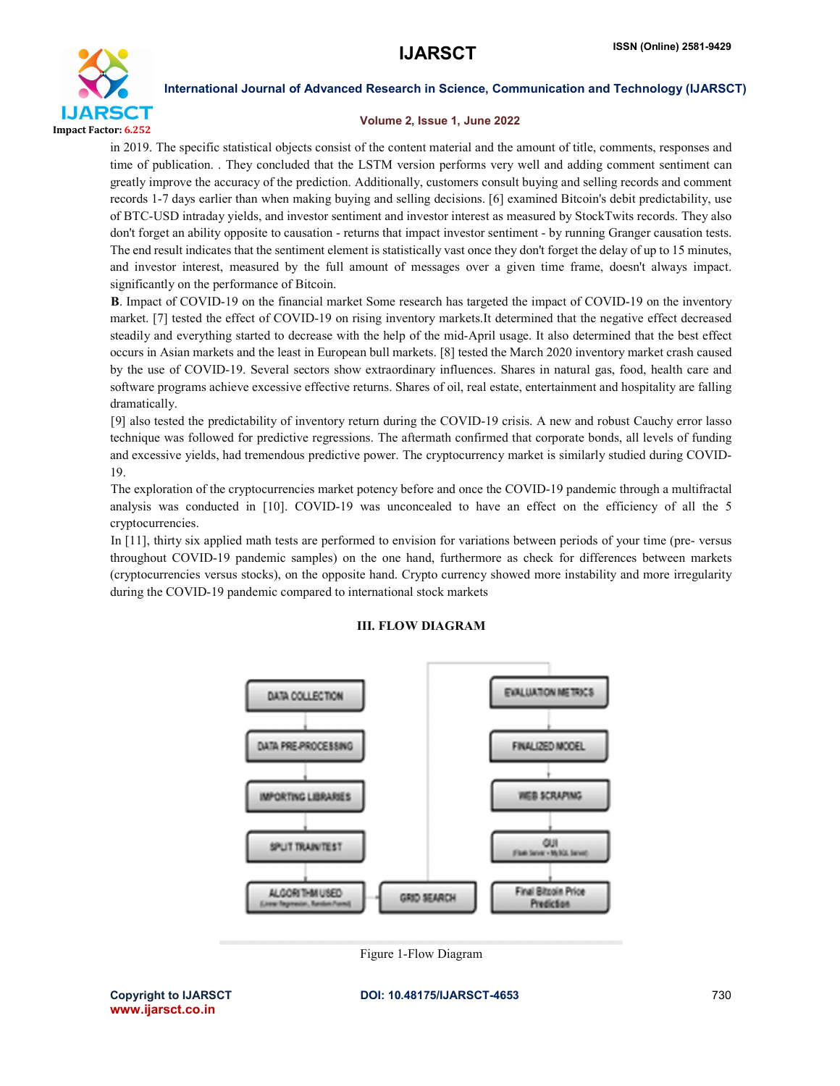

### Volume 2, Issue 1, June 2022

in 2019. The specific statistical objects consist of the content material and the amount of title, comments, responses and time of publication. . They concluded that the LSTM version performs very well and adding comment sentiment can greatly improve the accuracy of the prediction. Additionally, customers consult buying and selling records and comment records 1-7 days earlier than when making buying and selling decisions. [6] examined Bitcoin's debit predictability, use of BTC-USD intraday yields, and investor sentiment and investor interest as measured by StockTwits records. They also don't forget an ability opposite to causation - returns that impact investor sentiment - by running Granger causation tests. The end result indicates that the sentiment element is statistically vast once they don't forget the delay of up to 15 minutes, and investor interest, measured by the full amount of messages over a given time frame, doesn't always impact. significantly on the performance of Bitcoin.

B. Impact of COVID-19 on the financial market Some research has targeted the impact of COVID-19 on the inventory market. [7] tested the effect of COVID-19 on rising inventory markets.It determined that the negative effect decreased steadily and everything started to decrease with the help of the mid-April usage. It also determined that the best effect occurs in Asian markets and the least in European bull markets. [8] tested the March 2020 inventory market crash caused by the use of COVID-19. Several sectors show extraordinary influences. Shares in natural gas, food, health care and software programs achieve excessive effective returns. Shares of oil, real estate, entertainment and hospitality are falling dramatically.

[9] also tested the predictability of inventory return during the COVID-19 crisis. A new and robust Cauchy error lasso technique was followed for predictive regressions. The aftermath confirmed that corporate bonds, all levels of funding and excessive yields, had tremendous predictive power. The cryptocurrency market is similarly studied during COVID-19.

The exploration of the cryptocurrencies market potency before and once the COVID-19 pandemic through a multifractal analysis was conducted in [10]. COVID-19 was unconcealed to have an effect on the efficiency of all the 5 cryptocurrencies.

In [11], thirty six applied math tests are performed to envision for variations between periods of your time (pre- versus throughout COVID-19 pandemic samples) on the one hand, furthermore as check for differences between markets (cryptocurrencies versus stocks), on the opposite hand. Crypto currency showed more instability and more irregularity during the COVID-19 pandemic compared to international stock markets



### III. FLOW DIAGRAM

Figure 1-Flow Diagram

Copyright to IJARSCT **DOI: 10.48175/IJARSCT-4653** 730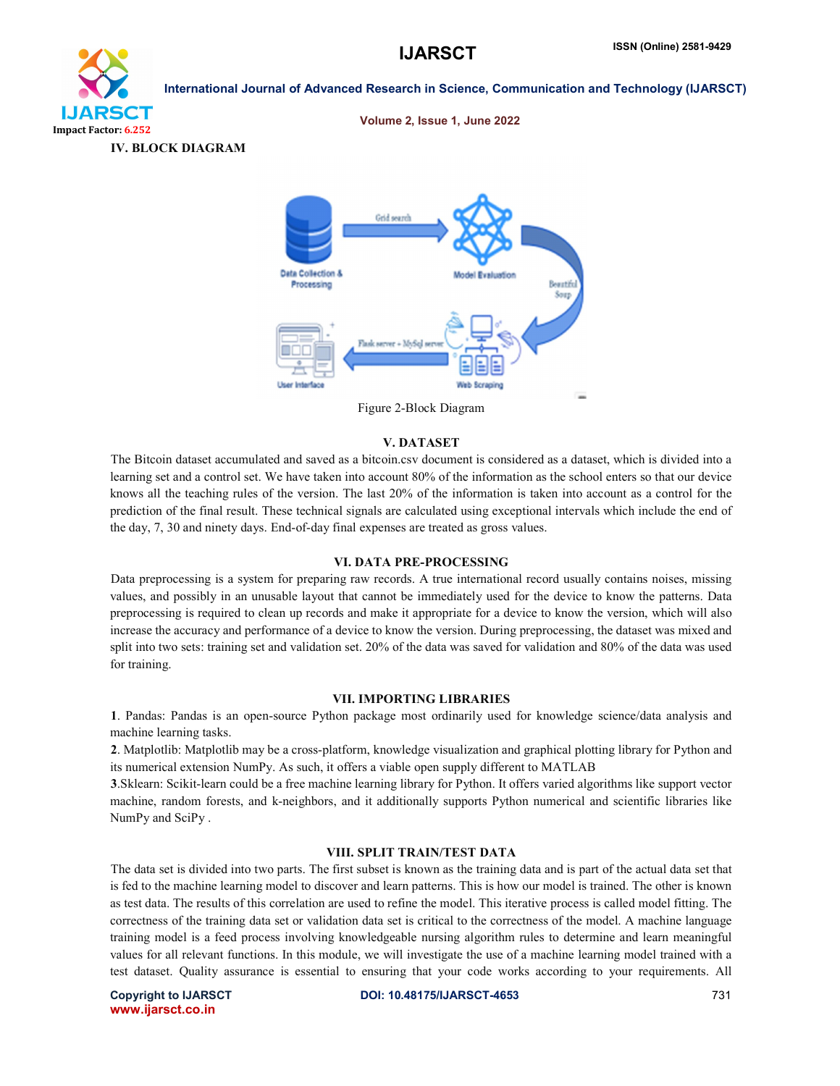

### Volume 2, Issue 1, June 2022





Figure 2-Block Diagram

### V. DATASET

The Bitcoin dataset accumulated and saved as a bitcoin.csv document is considered as a dataset, which is divided into a learning set and a control set. We have taken into account 80% of the information as the school enters so that our device knows all the teaching rules of the version. The last 20% of the information is taken into account as a control for the prediction of the final result. These technical signals are calculated using exceptional intervals which include the end of the day, 7, 30 and ninety days. End-of-day final expenses are treated as gross values.

### VI. DATA PRE-PROCESSING

Data preprocessing is a system for preparing raw records. A true international record usually contains noises, missing values, and possibly in an unusable layout that cannot be immediately used for the device to know the patterns. Data preprocessing is required to clean up records and make it appropriate for a device to know the version, which will also increase the accuracy and performance of a device to know the version. During preprocessing, the dataset was mixed and split into two sets: training set and validation set. 20% of the data was saved for validation and 80% of the data was used for training.

### VII. IMPORTING LIBRARIES

1. Pandas: Pandas is an open-source Python package most ordinarily used for knowledge science/data analysis and machine learning tasks.

2. Matplotlib: Matplotlib may be a cross-platform, knowledge visualization and graphical plotting library for Python and its numerical extension NumPy. As such, it offers a viable open supply different to MATLAB

3.Sklearn: Scikit-learn could be a free machine learning library for Python. It offers varied algorithms like support vector machine, random forests, and k-neighbors, and it additionally supports Python numerical and scientific libraries like NumPy and SciPy .

### VIII. SPLIT TRAIN/TEST DATA

The data set is divided into two parts. The first subset is known as the training data and is part of the actual data set that is fed to the machine learning model to discover and learn patterns. This is how our model is trained. The other is known as test data. The results of this correlation are used to refine the model. This iterative process is called model fitting. The correctness of the training data set or validation data set is critical to the correctness of the model. A machine language training model is a feed process involving knowledgeable nursing algorithm rules to determine and learn meaningful values for all relevant functions. In this module, we will investigate the use of a machine learning model trained with a test dataset. Quality assurance is essential to ensuring that your code works according to your requirements. All

www.ijarsct.co.in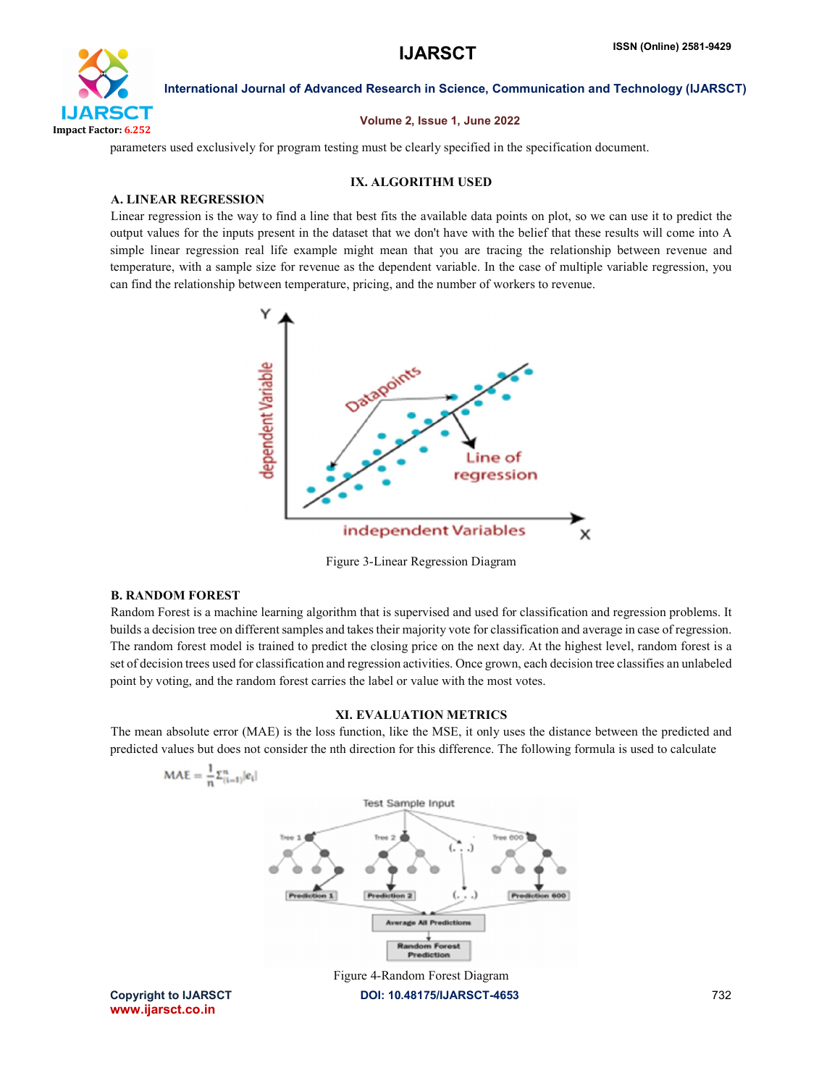

### Volume 2, Issue 1, June 2022

parameters used exclusively for program testing must be clearly specified in the specification document.

### IX. ALGORITHM USED

### A. LINEAR REGRESSION

Linear regression is the way to find a line that best fits the available data points on plot, so we can use it to predict the output values for the inputs present in the dataset that we don't have with the belief that these results will come into A simple linear regression real life example might mean that you are tracing the relationship between revenue and temperature, with a sample size for revenue as the dependent variable. In the case of multiple variable regression, you can find the relationship between temperature, pricing, and the number of workers to revenue.



Figure 3-Linear Regression Diagram

### B. RANDOM FOREST

Random Forest is a machine learning algorithm that is supervised and used for classification and regression problems. It builds a decision tree on different samples and takes their majority vote for classification and average in case of regression. The random forest model is trained to predict the closing price on the next day. At the highest level, random forest is a set of decision trees used for classification and regression activities. Once grown, each decision tree classifies an unlabeled point by voting, and the random forest carries the label or value with the most votes.

### XI. EVALUATION METRICS

The mean absolute error (MAE) is the loss function, like the MSE, it only uses the distance between the predicted and predicted values but does not consider the nth direction for this difference. The following formula is used to calculate

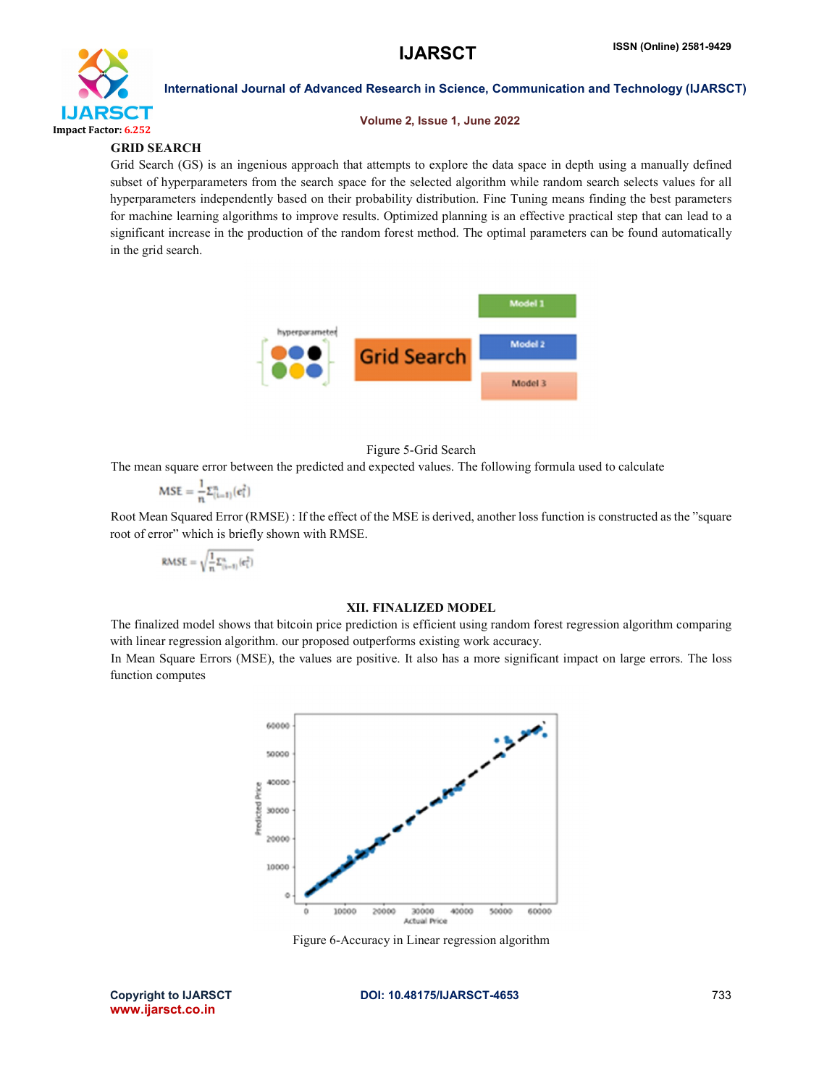

### Volume 2, Issue 1, June 2022

### GRID SEARCH

Grid Search (GS) is an ingenious approach that attempts to explore the data space in depth using a manually defined subset of hyperparameters from the search space for the selected algorithm while random search selects values for all hyperparameters independently based on their probability distribution. Fine Tuning means finding the best parameters for machine learning algorithms to improve results. Optimized planning is an effective practical step that can lead to a significant increase in the production of the random forest method. The optimal parameters can be found automatically in the grid search.



### Figure 5-Grid Search

The mean square error between the predicted and expected values. The following formula used to calculate

$$
MSE = \frac{1}{n} \Sigma_{(i=1)}^n (e_i^2)
$$

Root Mean Squared Error (RMSE) : If the effect of the MSE is derived, another loss function is constructed as the "square root of error" which is briefly shown with RMSE.

$$
\text{RMSE} = \sqrt{\frac{1}{n}\Sigma_{(i=1)}^n(e_i^2)}
$$

### XII. FINALIZED MODEL

The finalized model shows that bitcoin price prediction is efficient using random forest regression algorithm comparing with linear regression algorithm. our proposed outperforms existing work accuracy.

In Mean Square Errors (MSE), the values are positive. It also has a more significant impact on large errors. The loss function computes



Figure 6-Accuracy in Linear regression algorithm

www.ijarsct.co.in

Copyright to IJARSCT **DOI: 10.48175/IJARSCT-4653** 733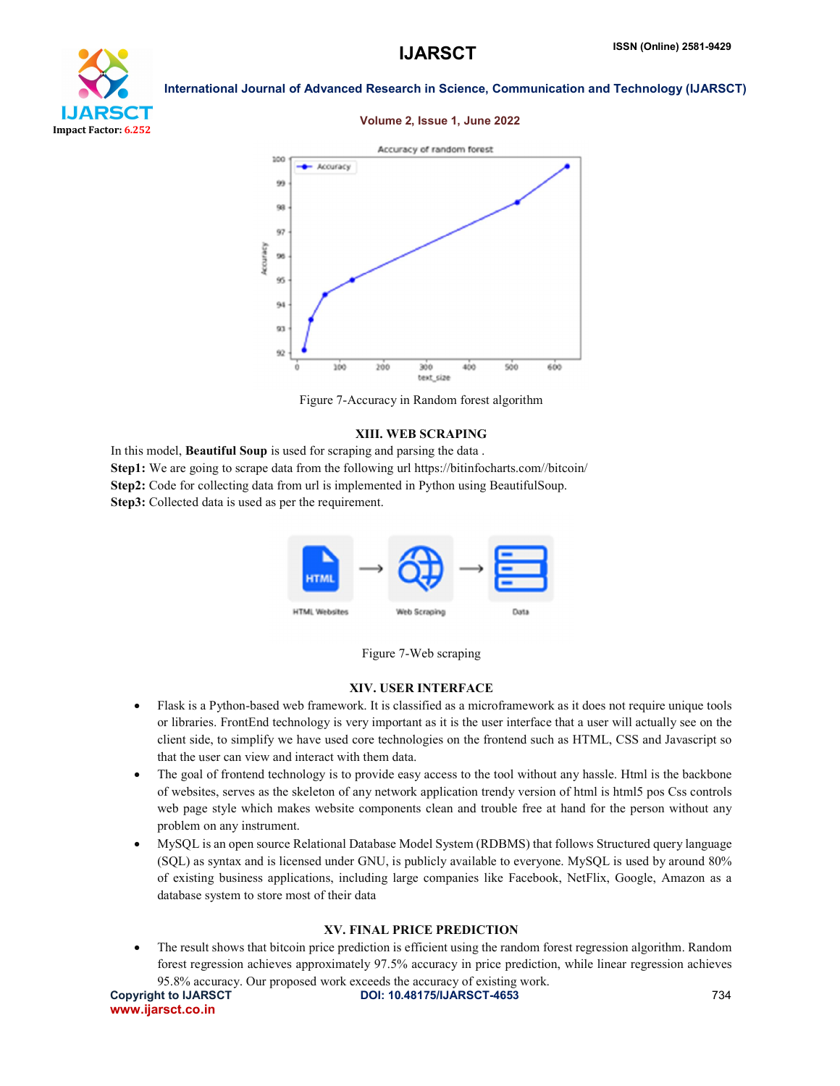# УT Impact Factor: 6.252

International Journal of Advanced Research in Science, Communication and Technology (IJARSCT)

### Volume 2, Issue 1, June 2022



Figure 7-Accuracy in Random forest algorithm

### XIII. WEB SCRAPING

In this model, Beautiful Soup is used for scraping and parsing the data . Step1: We are going to scrape data from the following url https://bitinfocharts.com//bitcoin/ Step2: Code for collecting data from url is implemented in Python using BeautifulSoup. Step3: Collected data is used as per the requirement.





### XIV. USER INTERFACE

- Flask is a Python-based web framework. It is classified as a microframework as it does not require unique tools or libraries. FrontEnd technology is very important as it is the user interface that a user will actually see on the client side, to simplify we have used core technologies on the frontend such as HTML, CSS and Javascript so that the user can view and interact with them data.
- The goal of frontend technology is to provide easy access to the tool without any hassle. Html is the backbone of websites, serves as the skeleton of any network application trendy version of html is html5 pos Css controls web page style which makes website components clean and trouble free at hand for the person without any problem on any instrument.
- MySQL is an open source Relational Database Model System (RDBMS) that follows Structured query language (SQL) as syntax and is licensed under GNU, is publicly available to everyone. MySQL is used by around 80% of existing business applications, including large companies like Facebook, NetFlix, Google, Amazon as a database system to store most of their data

### XV. FINAL PRICE PREDICTION

• The result shows that bitcoin price prediction is efficient using the random forest regression algorithm. Random forest regression achieves approximately 97.5% accuracy in price prediction, while linear regression achieves 95.8% accuracy. Our proposed work exceeds the accuracy of existing work.

www.ijarsct.co.in